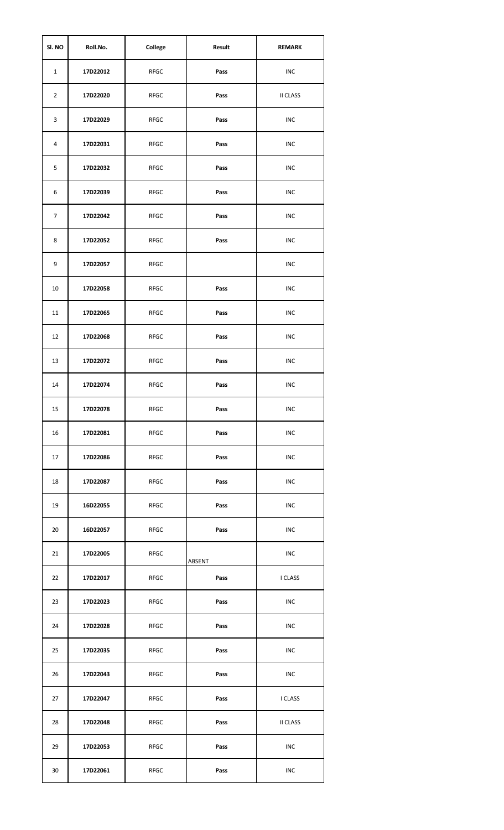| SI. NO         | Roll.No. | College     | Result | <b>REMARK</b>   |
|----------------|----------|-------------|--------|-----------------|
| $\mathbf{1}$   | 17D22012 | <b>RFGC</b> | Pass   | INC             |
| $\overline{2}$ | 17D22020 | RFGC        | Pass   | <b>II CLASS</b> |
| 3              | 17D22029 | RFGC        | Pass   | INC             |
| 4              | 17D22031 | RFGC        | Pass   | <b>INC</b>      |
| 5              | 17D22032 | RFGC        | Pass   | INC             |
| 6              | 17D22039 | RFGC        | Pass   | <b>INC</b>      |
| 7              | 17D22042 | <b>RFGC</b> | Pass   | <b>INC</b>      |
| 8              | 17D22052 | <b>RFGC</b> | Pass   | <b>INC</b>      |
| 9              | 17D22057 | <b>RFGC</b> |        | <b>INC</b>      |
| 10             | 17D22058 | <b>RFGC</b> | Pass   | <b>INC</b>      |
| 11             | 17D22065 | RFGC        | Pass   | <b>INC</b>      |
| 12             | 17D22068 | <b>RFGC</b> | Pass   | <b>INC</b>      |
| 13             | 17D22072 | RFGC        | Pass   | <b>INC</b>      |
| 14             | 17D22074 | RFGC        | Pass   | <b>INC</b>      |
| 15             | 17D22078 | RFGC        | Pass   | INC             |
| 16             | 17D22081 | <b>RFGC</b> | Pass   | INC             |
| 17             | 17D22086 | <b>RFGC</b> | Pass   | <b>INC</b>      |
| 18             | 17D22087 | <b>RFGC</b> | Pass   | <b>INC</b>      |
| 19             | 16D22055 | <b>RFGC</b> | Pass   | <b>INC</b>      |
| 20             | 16D22057 | <b>RFGC</b> | Pass   | <b>INC</b>      |
| 21             | 17D22005 | <b>RFGC</b> | ABSENT | <b>INC</b>      |
| 22             | 17D22017 | <b>RFGC</b> | Pass   | I CLASS         |
| 23             | 17D22023 | <b>RFGC</b> | Pass   | INC             |
| 24             | 17D22028 | <b>RFGC</b> | Pass   | INC             |
| 25             | 17D22035 | <b>RFGC</b> | Pass   | <b>INC</b>      |
| 26             | 17D22043 | <b>RFGC</b> | Pass   | <b>INC</b>      |
| 27             | 17D22047 | <b>RFGC</b> | Pass   | I CLASS         |
| 28             | 17D22048 | RFGC        | Pass   | <b>II CLASS</b> |
| 29             | 17D22053 | <b>RFGC</b> | Pass   | INC             |
| 30             | 17D22061 | <b>RFGC</b> | Pass   | <b>INC</b>      |